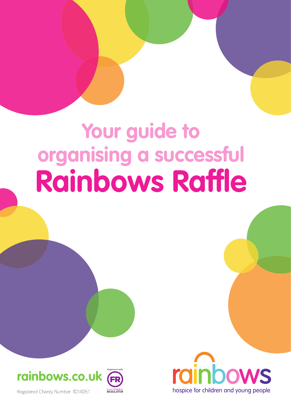# **Your guide to organising a successful Rainbows Raffle**



Registered Charity Number: 1014051

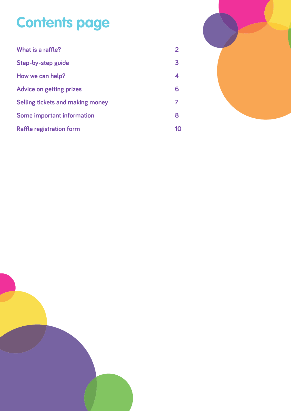### **Contents page**

| What is a raffle?                 |    |
|-----------------------------------|----|
| Step-by-step guide                | 3  |
| How we can help?                  | 4  |
| <b>Advice on getting prizes</b>   | 6  |
| Selling tickets and making money  |    |
| <b>Some important information</b> | 8  |
| <b>Raffle registration form</b>   | 10 |



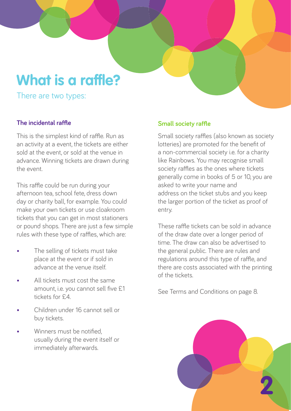### **What is a raffle?**

There are two types:

#### **The incidental raffle**

This is the simplest kind of raffle. Run as an activity at a event, the tickets are either sold at the event, or sold at the venue in advance. Winning tickets are drawn during the event.

This raffle could be run during your afternoon tea, school fete, dress down day or charity ball, for example. You could make your own tickets or use cloakroom tickets that you can get in most stationers or pound shops. There are just a few simple rules with these type of raffles, which are:

- The selling of tickets must take place at the event or if sold in advance at the venue itself.
- All tickets must cost the same amount, i.e. you cannot sell five £1 tickets for £4.
- Children under 16 cannot sell or buy tickets.
- Winners must be notified. usually during the event itself or immediately afterwards.

#### **Small society raffle**

Small society raffles (also known as society lotteries) are promoted for the benefit of a non-commercial society i.e. for a charity like Rainbows. You may recognise small society raffles as the ones where tickets generally come in books of 5 or 10, you are asked to write your name and address on the ticket stubs and you keep the larger portion of the ticket as proof of entry.

These raffle tickets can be sold in advance of the draw date over a longer period of time. The draw can also be advertised to the general public. There are rules and regulations around this type of raffle, and there are costs associated with the printing of the tickets.

See Terms and Conditions on page 8.

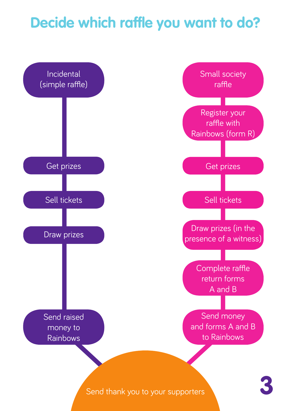### **Decide which raffle you want to do?**

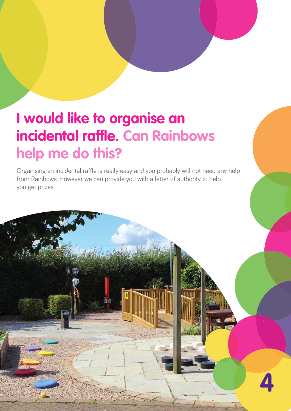### **I would like to organise an incidental raffle. Can Rainbows help me do this?**

Organising an incidental raffle is really easy and you probably will not need any help from Rainbows. However we can provide you with a letter of authority to help you get prizes.

**4**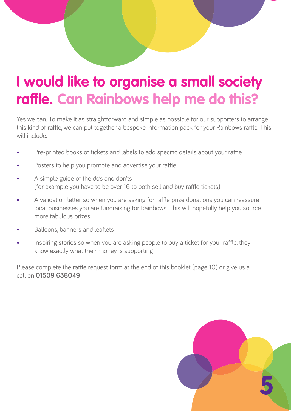### **I would like to organise a small society raffle. Can Rainbows help me do this?**

Yes we can. To make it as straightforward and simple as possible for our supporters to arrange this kind of raffle, we can put together a bespoke information pack for your Rainbows raffle. This will include:

- Pre-printed books of tickets and labels to add specific details about your raffle
- Posters to help you promote and advertise your raffle
- A simple guide of the do's and don'ts (for example you have to be over 16 to both sell and buy raffle tickets)
- A validation letter, so when you are asking for raffle prize donations you can reassure local businesses you are fundraising for Rainbows. This will hopefully help you source more fabulous prizes!
- Balloons, banners and leaflets
- Inspiring stories so when you are asking people to buy a ticket for your raffle, they know exactly what their money is supporting

Please complete the raffle request form at the end of this booklet (page 10) or give us a call on **01509 638049**

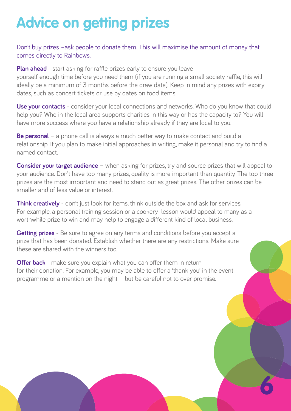## **Advice on getting prizes**

Don't buy prizes –ask people to donate them. This will maximise the amount of money that comes directly to Rainbows.

**Plan ahead** - start asking for raffle prizes early to ensure you leave

yourself enough time before you need them (if you are running a small society raffle, this will ideally be a minimum of 3 months before the draw date). Keep in mind any prizes with expiry dates, such as concert tickets or use by dates on food items.

**Use your contacts** - consider your local connections and networks. Who do you know that could help you? Who in the local area supports charities in this way or has the capacity to? You will have more success where you have a relationship already if they are local to you.

**Be personal** – a phone call is always a much better way to make contact and build a relationship. If you plan to make initial approaches in writing, make it personal and try to find a named contact.

**Consider your target audience** – when asking for prizes, try and source prizes that will appeal to your audience. Don't have too many prizes, quality is more important than quantity. The top three prizes are the most important and need to stand out as great prizes. The other prizes can be smaller and of less value or interest.

**6**

**Think creatively** - don't just look for items, think outside the box and ask for services. For example, a personal training session or a cookery lesson would appeal to many as a worthwhile prize to win and may help to engage a different kind of local business.

**Getting prizes** - Be sure to agree on any terms and conditions before you accept a prize that has been donated. Establish whether there are any restrictions. Make sure these are shared with the winners too.

**Offer back** - make sure you explain what you can offer them in return for their donation. For example, you may be able to offer a 'thank you' in the event programme or a mention on the night – but be careful not to over promise.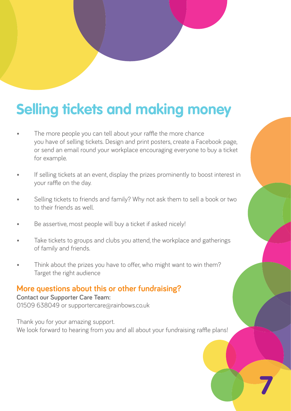### **Selling tickets and making money**

- The more people you can tell about your raffle the more chance you have of selling tickets. Design and print posters, create a Facebook page, or send an email round your workplace encouraging everyone to buy a ticket for example.
- If selling tickets at an event, display the prizes prominently to boost interest in your raffle on the day.
- Selling tickets to friends and family? Why not ask them to sell a book or two to their friends as well.
- Be assertive, most people will buy a ticket if asked nicely!
- Take tickets to groups and clubs you attend, the workplace and gatherings of family and friends.
- Think about the prizes you have to offer, who might want to win them? Target the right audience

#### **More questions about this or other fundraising?**

#### **Contact our Supporter Care Team:**

01509 638049 or supportercare@rainbows.co.uk

Thank you for your amazing support. We look forward to hearing from you and all about your fundraising raffle plans!

**7**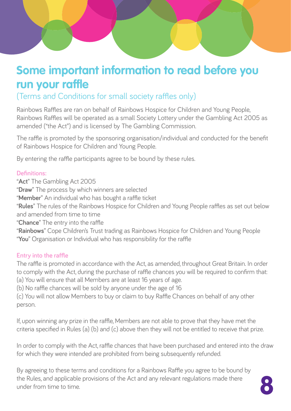### **Some important information to read before you run your raffle**

(Terms and Conditions for small society raffles only)

Rainbows Raffles are ran on behalf of Rainbows Hospice for Children and Young People, Rainbows Raffles will be operated as a small Society Lottery under the Gambling Act 2005 as amended ("the Act") and is licensed by The Gambling Commission.

The raffle is promoted by the sponsoring organisation/individual and conducted for the benefit of Rainbows Hospice for Children and Young People.

By entering the raffle participants agree to be bound by these rules.

#### **Definitions:**

"**Act**" The Gambling Act 2005 "**Draw**" The process by which winners are selected "**Member**" An individual who has bought a raffle ticket "**Rules**" The rules of the Rainbows Hospice for Children and Young People raffles as set out below and amended from time to time "**Chance**" The entry into the raffle "**Rainbows**" Cope Children's Trust trading as Rainbows Hospice for Children and Young People "**You**" Organisation or Individual who has responsibility for the raffle

#### **Entry into the raffle**

The raffle is promoted in accordance with the Act, as amended, throughout Great Britain. In order to comply with the Act, during the purchase of raffle chances you will be required to confirm that: (a) You will ensure that all Members are at least 16 years of age.

(b) No raffle chances will be sold by anyone under the age of 16

(c) You will not allow Members to buy or claim to buy Raffle Chances on behalf of any other person.

If, upon winning any prize in the raffle, Members are not able to prove that they have met the criteria specified in Rules (a) (b) and (c) above then they will not be entitled to receive that prize.

In order to comply with the Act, raffle chances that have been purchased and entered into the draw for which they were intended are prohibited from being subsequently refunded.

By agreeing to these terms and conditions for a Rainbows Raffle you agree to be bound by the Rules, and applicable provisions of the Act and any relevant regulations made there under from time to time. **8**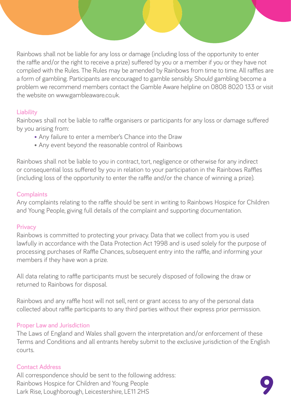Rainbows shall not be liable for any loss or damage (including loss of the opportunity to enter the raffle and/or the right to receive a prize) suffered by you or a member if you or they have not complied with the Rules. The Rules may be amended by Rainbows from time to time. All raffles are a form of gambling. Participants are encouraged to gamble sensibly. Should gambling become a problem we recommend members contact the Gamble Aware helpline on 0808 8020 133 or visit the website on www.gambleaware.co.uk.

#### **Liability**

Rainbows shall not be liable to raffle organisers or participants for any loss or damage suffered by you arising from:

- Any failure to enter a member's Chance into the Draw
- Any event beyond the reasonable control of Rainbows

Rainbows shall not be liable to you in contract, tort, negligence or otherwise for any indirect or consequential loss suffered by you in relation to your participation in the Rainbows Raffles (including loss of the opportunity to enter the raffle and/or the chance of winning a prize).

#### **Complaints**

Any complaints relating to the raffle should be sent in writing to Rainbows Hospice for Children and Young People, giving full details of the complaint and supporting documentation.

#### **Privacy**

Rainbows is committed to protecting your privacy. Data that we collect from you is used lawfully in accordance with the Data Protection Act 1998 and is used solely for the purpose of processing purchases of Raffle Chances, subsequent entry into the raffle, and informing your members if they have won a prize.

All data relating to raffle participants must be securely disposed of following the draw or returned to Rainbows for disposal.

Rainbows and any raffle host will not sell, rent or grant access to any of the personal data collected about raffle participants to any third parties without their express prior permission.

#### **Proper Law and Jurisdiction**

The Laws of England and Wales shall govern the interpretation and/or enforcement of these Terms and Conditions and all entrants hereby submit to the exclusive jurisdiction of the English courts.

#### **Contact Address**

All correspondence should be sent to the following address: Rainbows Hospice for Children and Young People Lark Rise, Loughborough, Leicestershire, LE11 2HS